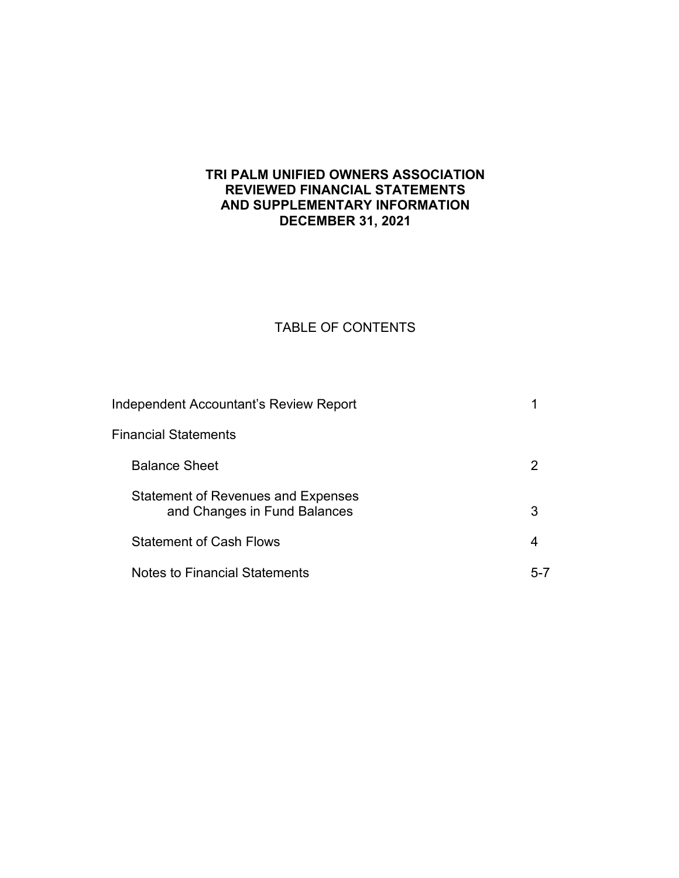## **TRI PALM UNIFIED OWNERS ASSOCIATION REVIEWED FINANCIAL STATEMENTS AND SUPPLEMENTARY INFORMATION DECEMBER 31, 2021**

# TABLE OF CONTENTS

| Independent Accountant's Review Report                                    |     |
|---------------------------------------------------------------------------|-----|
| Financial Statements                                                      |     |
| <b>Balance Sheet</b>                                                      | 2   |
| <b>Statement of Revenues and Expenses</b><br>and Changes in Fund Balances | 3   |
| <b>Statement of Cash Flows</b>                                            | 4   |
| <b>Notes to Financial Statements</b>                                      | 5-7 |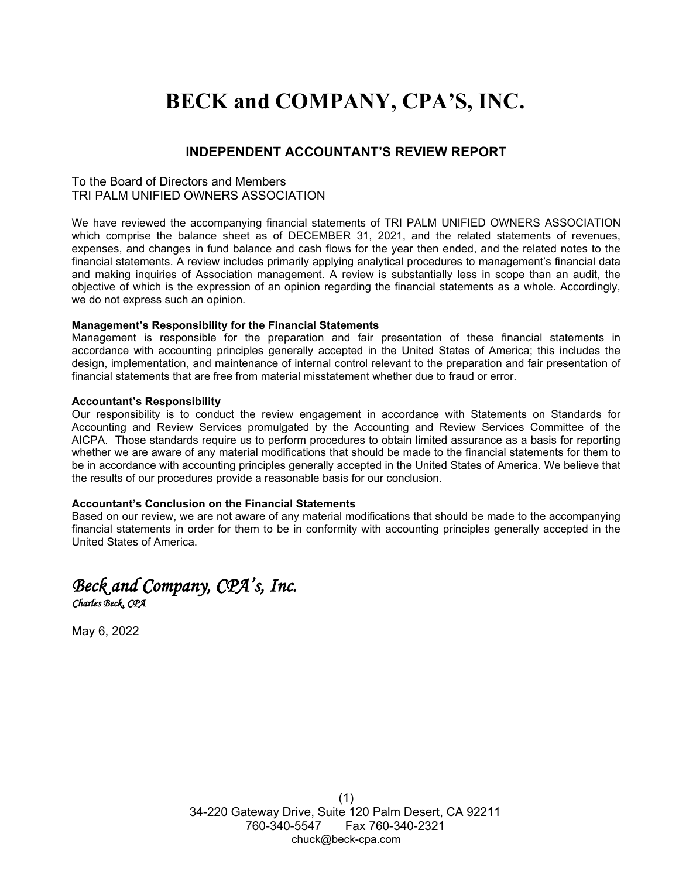# **BECK and COMPANY, CPA'S, INC.**

## **INDEPENDENT ACCOUNTANT'S REVIEW REPORT**

## To the Board of Directors and Members TRI PALM UNIFIED OWNERS ASSOCIATION

We have reviewed the accompanying financial statements of TRI PALM UNIFIED OWNERS ASSOCIATION which comprise the balance sheet as of DECEMBER 31, 2021, and the related statements of revenues, expenses, and changes in fund balance and cash flows for the year then ended, and the related notes to the financial statements. A review includes primarily applying analytical procedures to management's financial data and making inquiries of Association management. A review is substantially less in scope than an audit, the objective of which is the expression of an opinion regarding the financial statements as a whole. Accordingly, we do not express such an opinion.

#### **Management's Responsibility for the Financial Statements**

Management is responsible for the preparation and fair presentation of these financial statements in accordance with accounting principles generally accepted in the United States of America; this includes the design, implementation, and maintenance of internal control relevant to the preparation and fair presentation of financial statements that are free from material misstatement whether due to fraud or error.

#### **Accountant's Responsibility**

Our responsibility is to conduct the review engagement in accordance with Statements on Standards for Accounting and Review Services promulgated by the Accounting and Review Services Committee of the AICPA. Those standards require us to perform procedures to obtain limited assurance as a basis for reporting whether we are aware of any material modifications that should be made to the financial statements for them to be in accordance with accounting principles generally accepted in the United States of America. We believe that the results of our procedures provide a reasonable basis for our conclusion.

#### **Accountant's Conclusion on the Financial Statements**

Based on our review, we are not aware of any material modifications that should be made to the accompanying financial statements in order for them to be in conformity with accounting principles generally accepted in the United States of America.



May 6, 2022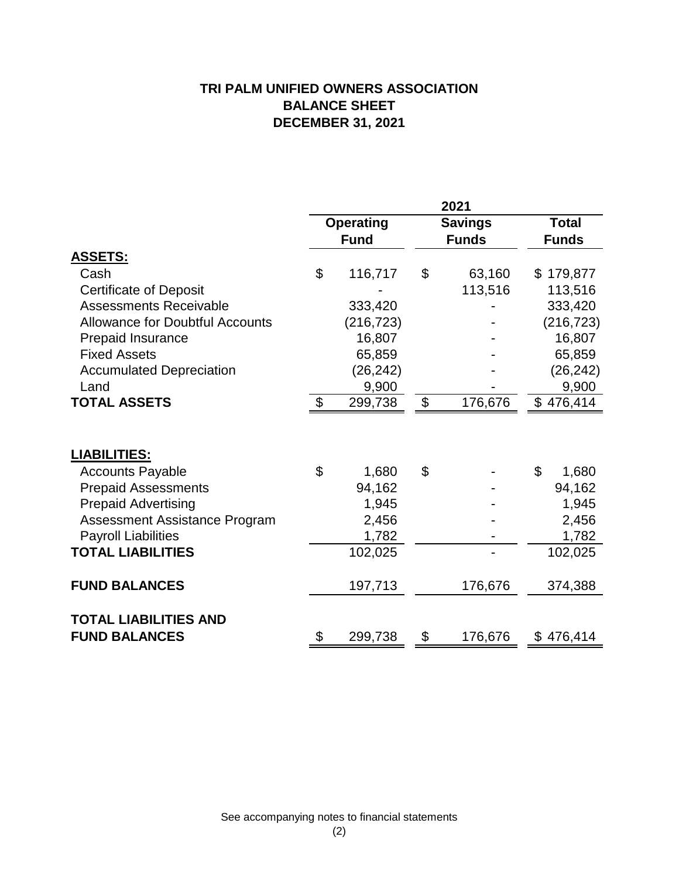## **TRI PALM UNIFIED OWNERS ASSOCIATION BALANCE SHEET DECEMBER 31, 2021**

|                                        | 2021                      |                  |                       |                |              |  |  |
|----------------------------------------|---------------------------|------------------|-----------------------|----------------|--------------|--|--|
|                                        |                           | <b>Operating</b> |                       | <b>Savings</b> | <b>Total</b> |  |  |
|                                        | <b>Fund</b>               |                  | <b>Funds</b>          |                | <b>Funds</b> |  |  |
| <u>ASSETS:</u>                         |                           |                  |                       |                |              |  |  |
| Cash                                   | \$                        | 116,717          | \$                    | 63,160         | \$179,877    |  |  |
| <b>Certificate of Deposit</b>          |                           |                  |                       | 113,516        | 113,516      |  |  |
| <b>Assessments Receivable</b>          |                           | 333,420          |                       |                | 333,420      |  |  |
| <b>Allowance for Doubtful Accounts</b> |                           | (216, 723)       |                       |                | (216, 723)   |  |  |
| Prepaid Insurance                      |                           | 16,807           |                       |                | 16,807       |  |  |
| <b>Fixed Assets</b>                    |                           | 65,859           |                       |                | 65,859       |  |  |
| <b>Accumulated Depreciation</b>        |                           | (26, 242)        |                       |                | (26, 242)    |  |  |
| Land                                   |                           | 9,900            |                       |                | 9,900        |  |  |
| <b>TOTAL ASSETS</b>                    | $\boldsymbol{\mathsf{S}}$ | 299,738          | $\boldsymbol{\theta}$ | 176,676        | \$476,414    |  |  |
| <b>LIABILITIES:</b>                    |                           |                  |                       |                |              |  |  |
| <b>Accounts Payable</b>                | \$                        | 1,680            | \$                    |                | \$<br>1,680  |  |  |
| <b>Prepaid Assessments</b>             |                           | 94,162           |                       |                | 94,162       |  |  |
| <b>Prepaid Advertising</b>             |                           | 1,945            |                       |                | 1,945        |  |  |
| Assessment Assistance Program          |                           | 2,456            |                       |                | 2,456        |  |  |
| <b>Payroll Liabilities</b>             |                           | 1,782            |                       |                | 1,782        |  |  |
| <b>TOTAL LIABILITIES</b>               |                           | 102,025          |                       |                | 102,025      |  |  |
| <b>FUND BALANCES</b>                   |                           | 197,713          |                       | 176,676        | 374,388      |  |  |
| <b>TOTAL LIABILITIES AND</b>           |                           |                  |                       |                |              |  |  |
| <b>FUND BALANCES</b>                   | \$                        | 299,738          | \$                    | 176,676        | \$476,414    |  |  |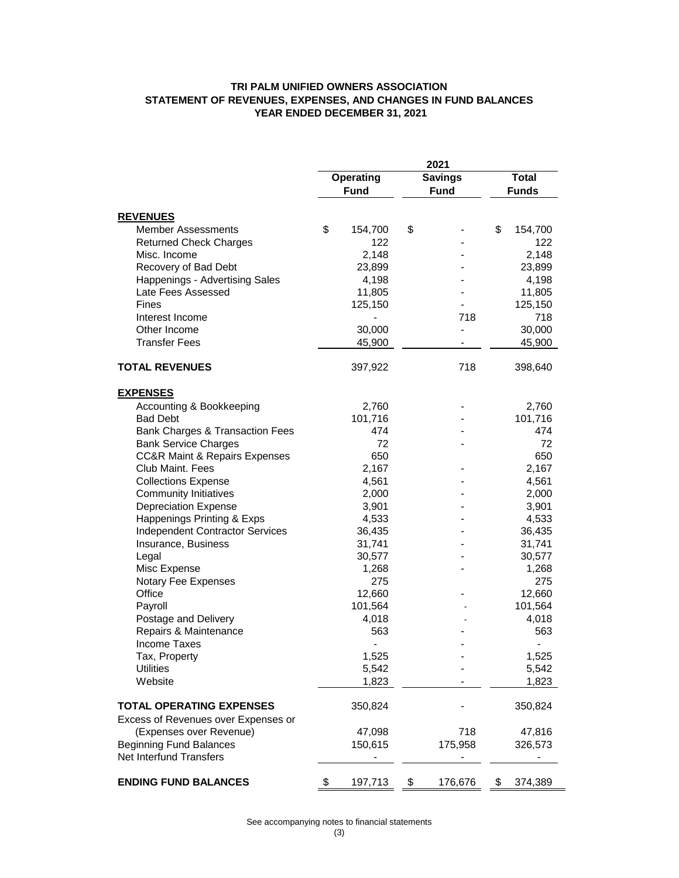#### **TRI PALM UNIFIED OWNERS ASSOCIATION STATEMENT OF REVENUES, EXPENSES, AND CHANGES IN FUND BALANCES YEAR ENDED DECEMBER 31, 2021**

|                                              | 2021                            |         |                               |                |                              |         |
|----------------------------------------------|---------------------------------|---------|-------------------------------|----------------|------------------------------|---------|
|                                              | <b>Operating</b><br><b>Fund</b> |         | <b>Savings</b><br><b>Fund</b> |                | <b>Total</b><br><b>Funds</b> |         |
| <b>REVENUES</b>                              |                                 |         |                               |                |                              |         |
| <b>Member Assessments</b>                    | \$                              | 154,700 | \$                            |                | \$                           | 154,700 |
| <b>Returned Check Charges</b>                |                                 | 122     |                               |                |                              | 122     |
| Misc. Income                                 |                                 | 2,148   |                               |                |                              | 2,148   |
| Recovery of Bad Debt                         |                                 | 23,899  |                               |                |                              | 23,899  |
| Happenings - Advertising Sales               |                                 | 4,198   |                               |                |                              | 4,198   |
| Late Fees Assessed                           |                                 | 11,805  |                               |                |                              | 11,805  |
| Fines                                        |                                 | 125,150 |                               |                |                              | 125,150 |
| Interest Income                              |                                 |         |                               | 718            |                              | 718     |
| Other Income                                 |                                 | 30,000  |                               | $\blacksquare$ |                              | 30,000  |
| <b>Transfer Fees</b>                         |                                 | 45,900  |                               |                |                              | 45,900  |
| <b>TOTAL REVENUES</b>                        |                                 | 397,922 |                               | 718            |                              | 398,640 |
| <b>EXPENSES</b>                              |                                 |         |                               |                |                              |         |
| Accounting & Bookkeeping                     |                                 | 2,760   |                               |                |                              | 2,760   |
| <b>Bad Debt</b>                              |                                 | 101,716 |                               |                |                              | 101,716 |
| Bank Charges & Transaction Fees              |                                 | 474     |                               |                |                              | 474     |
| <b>Bank Service Charges</b>                  |                                 | 72      |                               |                |                              | 72      |
| <b>CC&amp;R Maint &amp; Repairs Expenses</b> |                                 | 650     |                               |                |                              | 650     |
| Club Maint. Fees                             |                                 | 2,167   |                               |                |                              | 2,167   |
| <b>Collections Expense</b>                   |                                 | 4,561   |                               |                |                              | 4,561   |
| <b>Community Initiatives</b>                 |                                 | 2,000   |                               |                |                              | 2,000   |
| <b>Depreciation Expense</b>                  |                                 | 3,901   |                               |                |                              | 3,901   |
| Happenings Printing & Exps                   |                                 | 4,533   |                               |                |                              | 4,533   |
| <b>Independent Contractor Services</b>       |                                 | 36,435  |                               |                |                              | 36,435  |
| Insurance, Business                          |                                 | 31,741  |                               |                |                              | 31,741  |
| Legal                                        |                                 | 30,577  |                               |                |                              | 30,577  |
| Misc Expense                                 |                                 | 1,268   |                               |                |                              | 1,268   |
| Notary Fee Expenses                          |                                 | 275     |                               |                |                              | 275     |
| Office                                       |                                 | 12,660  |                               |                |                              | 12,660  |
| Payroll                                      |                                 | 101,564 |                               |                |                              | 101,564 |
| Postage and Delivery                         |                                 | 4,018   |                               |                |                              | 4,018   |
| Repairs & Maintenance                        |                                 | 563     |                               |                |                              | 563     |
| <b>Income Taxes</b>                          |                                 |         |                               |                |                              |         |
| Tax, Property                                |                                 | 1,525   |                               |                |                              | 1,525   |
| <b>Utilities</b>                             |                                 | 5,542   |                               |                |                              | 5,542   |
| Website                                      |                                 | 1,823   |                               |                |                              | 1,823   |
| <b>TOTAL OPERATING EXPENSES</b>              |                                 | 350,824 |                               |                |                              | 350,824 |
| Excess of Revenues over Expenses or          |                                 |         |                               |                |                              |         |
| (Expenses over Revenue)                      |                                 | 47,098  |                               | 718            |                              | 47,816  |
| <b>Beginning Fund Balances</b>               |                                 | 150,615 |                               | 175,958        |                              | 326,573 |
| Net Interfund Transfers                      |                                 |         |                               |                |                              |         |
| <b>ENDING FUND BALANCES</b>                  | \$                              | 197,713 | \$                            | 176,676        | \$                           | 374,389 |

See accompanying notes to financial statements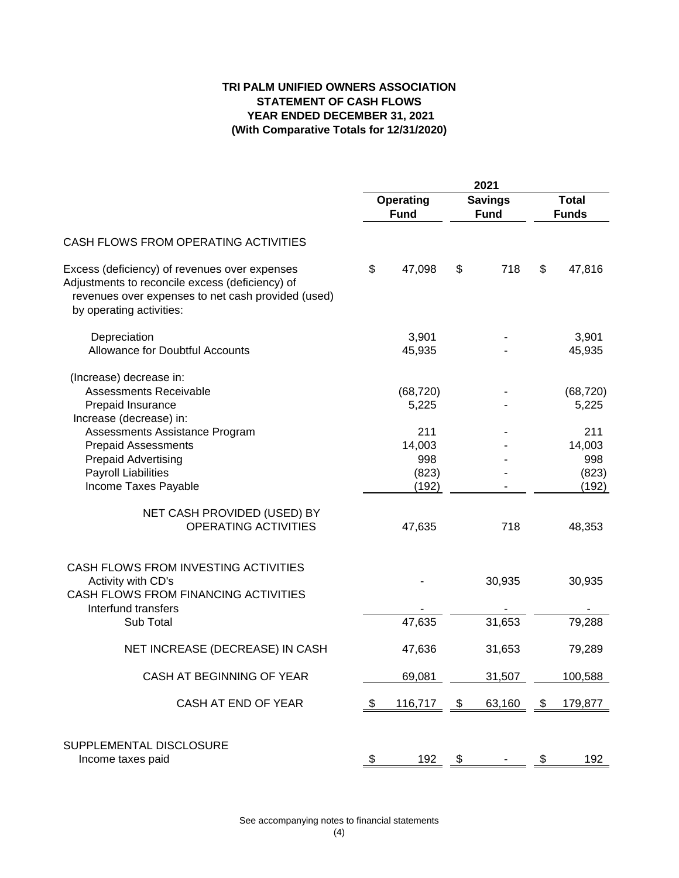## **TRI PALM UNIFIED OWNERS ASSOCIATION STATEMENT OF CASH FLOWS YEAR ENDED DECEMBER 31, 2021 (With Comparative Totals for 12/31/2020)**

|                                                                                                                                                                                                                                                       | 2021                            |                                                              |                               |                  |                              |                                                              |
|-------------------------------------------------------------------------------------------------------------------------------------------------------------------------------------------------------------------------------------------------------|---------------------------------|--------------------------------------------------------------|-------------------------------|------------------|------------------------------|--------------------------------------------------------------|
|                                                                                                                                                                                                                                                       | <b>Operating</b><br><b>Fund</b> |                                                              | <b>Savings</b><br><b>Fund</b> |                  | <b>Total</b><br><b>Funds</b> |                                                              |
| CASH FLOWS FROM OPERATING ACTIVITIES                                                                                                                                                                                                                  |                                 |                                                              |                               |                  |                              |                                                              |
| Excess (deficiency) of revenues over expenses<br>Adjustments to reconcile excess (deficiency) of<br>revenues over expenses to net cash provided (used)<br>by operating activities:                                                                    | \$                              | 47,098                                                       | \$                            | 718              | \$                           | 47,816                                                       |
| Depreciation<br><b>Allowance for Doubtful Accounts</b>                                                                                                                                                                                                |                                 | 3,901<br>45,935                                              |                               |                  |                              | 3,901<br>45,935                                              |
| (Increase) decrease in:<br>Assessments Receivable<br>Prepaid Insurance<br>Increase (decrease) in:<br>Assessments Assistance Program<br><b>Prepaid Assessments</b><br><b>Prepaid Advertising</b><br><b>Payroll Liabilities</b><br>Income Taxes Payable |                                 | (68, 720)<br>5,225<br>211<br>14,003<br>998<br>(823)<br>(192) |                               |                  |                              | (68, 720)<br>5,225<br>211<br>14,003<br>998<br>(823)<br>(192) |
| NET CASH PROVIDED (USED) BY<br>OPERATING ACTIVITIES                                                                                                                                                                                                   |                                 | 47,635                                                       |                               | 718              |                              | 48,353                                                       |
| CASH FLOWS FROM INVESTING ACTIVITIES<br>Activity with CD's<br>CASH FLOWS FROM FINANCING ACTIVITIES<br>Interfund transfers<br>Sub Total                                                                                                                |                                 | 47,635                                                       |                               | 30,935<br>31,653 |                              | 30,935<br>79,288                                             |
| NET INCREASE (DECREASE) IN CASH                                                                                                                                                                                                                       |                                 | 47,636                                                       |                               | 31,653           |                              | 79,289                                                       |
| CASH AT BEGINNING OF YEAR                                                                                                                                                                                                                             |                                 | 69,081                                                       |                               | 31,507           |                              | 100,588                                                      |
| CASH AT END OF YEAR                                                                                                                                                                                                                                   | $\frac{1}{2}$                   | 116,717                                                      | \$                            | 63,160           | \$                           | 179,877                                                      |
| SUPPLEMENTAL DISCLOSURE<br>Income taxes paid                                                                                                                                                                                                          | \$                              | 192                                                          | - \$                          |                  | \$                           | 192                                                          |

See accompanying notes to financial statements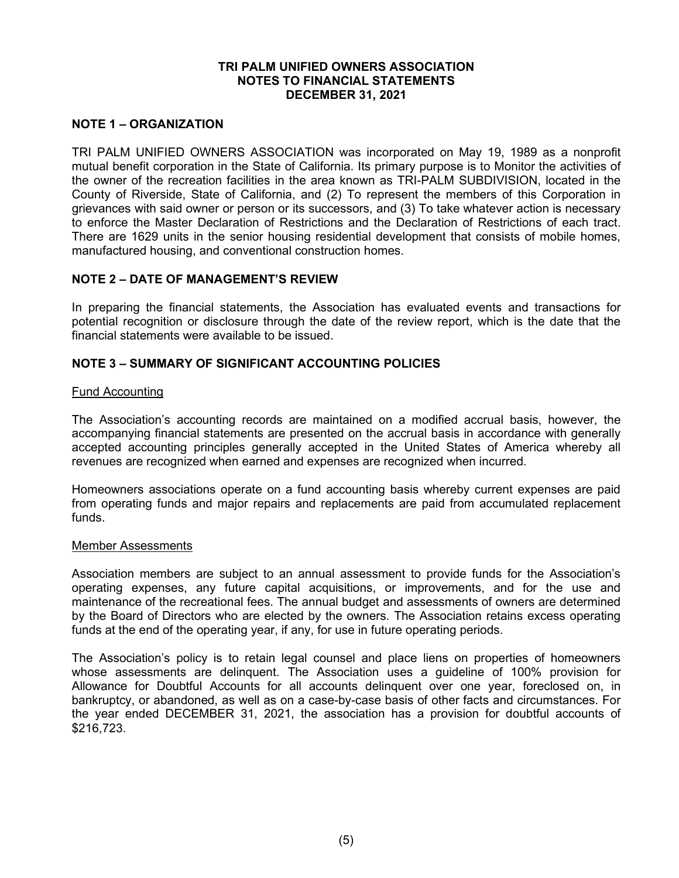## **TRI PALM UNIFIED OWNERS ASSOCIATION NOTES TO FINANCIAL STATEMENTS DECEMBER 31, 2021**

## **NOTE 1 – ORGANIZATION**

TRI PALM UNIFIED OWNERS ASSOCIATION was incorporated on May 19, 1989 as a nonprofit mutual benefit corporation in the State of California. Its primary purpose is to Monitor the activities of the owner of the recreation facilities in the area known as TRI-PALM SUBDIVISION, located in the County of Riverside, State of California, and (2) To represent the members of this Corporation in grievances with said owner or person or its successors, and (3) To take whatever action is necessary to enforce the Master Declaration of Restrictions and the Declaration of Restrictions of each tract. There are 1629 units in the senior housing residential development that consists of mobile homes, manufactured housing, and conventional construction homes.

## **NOTE 2 – DATE OF MANAGEMENT'S REVIEW**

In preparing the financial statements, the Association has evaluated events and transactions for potential recognition or disclosure through the date of the review report, which is the date that the financial statements were available to be issued.

## **NOTE 3 – SUMMARY OF SIGNIFICANT ACCOUNTING POLICIES**

## Fund Accounting

The Association's accounting records are maintained on a modified accrual basis, however, the accompanying financial statements are presented on the accrual basis in accordance with generally accepted accounting principles generally accepted in the United States of America whereby all revenues are recognized when earned and expenses are recognized when incurred.

Homeowners associations operate on a fund accounting basis whereby current expenses are paid from operating funds and major repairs and replacements are paid from accumulated replacement funds.

## Member Assessments

Association members are subject to an annual assessment to provide funds for the Association's operating expenses, any future capital acquisitions, or improvements, and for the use and maintenance of the recreational fees. The annual budget and assessments of owners are determined by the Board of Directors who are elected by the owners. The Association retains excess operating funds at the end of the operating year, if any, for use in future operating periods.

The Association's policy is to retain legal counsel and place liens on properties of homeowners whose assessments are delinquent. The Association uses a guideline of 100% provision for Allowance for Doubtful Accounts for all accounts delinquent over one year, foreclosed on, in bankruptcy, or abandoned, as well as on a case-by-case basis of other facts and circumstances. For the year ended DECEMBER 31, 2021, the association has a provision for doubtful accounts of \$216,723.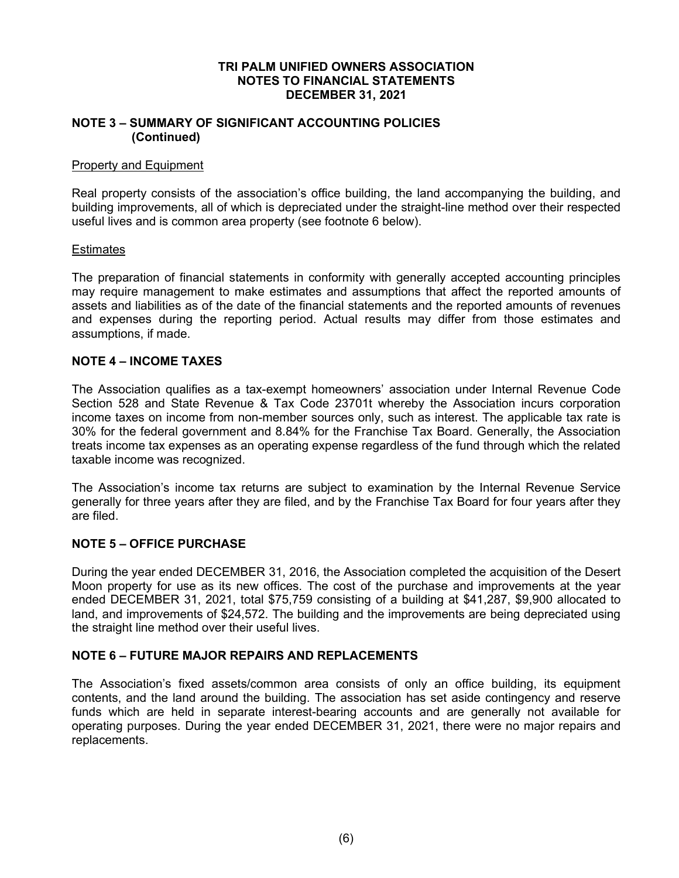## **TRI PALM UNIFIED OWNERS ASSOCIATION NOTES TO FINANCIAL STATEMENTS DECEMBER 31, 2021**

## **NOTE 3 – SUMMARY OF SIGNIFICANT ACCOUNTING POLICIES (Continued)**

#### Property and Equipment

Real property consists of the association's office building, the land accompanying the building, and building improvements, all of which is depreciated under the straight-line method over their respected useful lives and is common area property (see footnote 6 below).

## **Estimates**

The preparation of financial statements in conformity with generally accepted accounting principles may require management to make estimates and assumptions that affect the reported amounts of assets and liabilities as of the date of the financial statements and the reported amounts of revenues and expenses during the reporting period. Actual results may differ from those estimates and assumptions, if made.

## **NOTE 4 – INCOME TAXES**

The Association qualifies as a tax-exempt homeowners' association under Internal Revenue Code Section 528 and State Revenue & Tax Code 23701t whereby the Association incurs corporation income taxes on income from non-member sources only, such as interest. The applicable tax rate is 30% for the federal government and 8.84% for the Franchise Tax Board. Generally, the Association treats income tax expenses as an operating expense regardless of the fund through which the related taxable income was recognized.

The Association's income tax returns are subject to examination by the Internal Revenue Service generally for three years after they are filed, and by the Franchise Tax Board for four years after they are filed.

## **NOTE 5 – OFFICE PURCHASE**

During the year ended DECEMBER 31, 2016, the Association completed the acquisition of the Desert Moon property for use as its new offices. The cost of the purchase and improvements at the year ended DECEMBER 31, 2021, total \$75,759 consisting of a building at \$41,287, \$9,900 allocated to land, and improvements of \$24,572. The building and the improvements are being depreciated using the straight line method over their useful lives.

## **NOTE 6 – FUTURE MAJOR REPAIRS AND REPLACEMENTS**

The Association's fixed assets/common area consists of only an office building, its equipment contents, and the land around the building. The association has set aside contingency and reserve funds which are held in separate interest-bearing accounts and are generally not available for operating purposes. During the year ended DECEMBER 31, 2021, there were no major repairs and replacements.